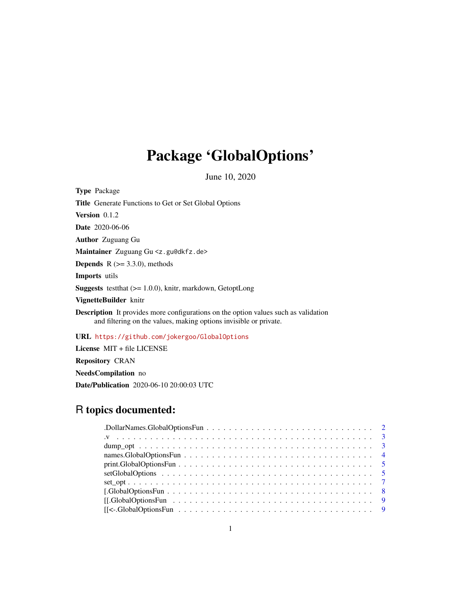## Package 'GlobalOptions'

June 10, 2020

| <b>Type</b> Package                                                                                                                                             |
|-----------------------------------------------------------------------------------------------------------------------------------------------------------------|
| <b>Title</b> Generate Functions to Get or Set Global Options                                                                                                    |
| <b>Version</b> $0.1.2$                                                                                                                                          |
| <b>Date</b> 2020-06-06                                                                                                                                          |
| <b>Author</b> Zuguang Gu                                                                                                                                        |
| <b>Maintainer</b> Zuguang $Gu \le z$ . gu@dkfz. de>                                                                                                             |
| <b>Depends</b> $R (= 3.3.0)$ , methods                                                                                                                          |
| <b>Imports</b> utils                                                                                                                                            |
| <b>Suggests</b> test that $(>= 1.0.0)$ , knitr, markdown, GetoptLong                                                                                            |
| VignetteBuilder knitr                                                                                                                                           |
| <b>Description</b> It provides more configurations on the option values such as validation<br>and filtering on the values, making options invisible or private. |
| URL https://github.com/jokergoo/GlobalOptions                                                                                                                   |
| License $MIT + file LICENSE$                                                                                                                                    |

Repository CRAN

NeedsCompilation no

Date/Publication 2020-06-10 20:00:03 UTC

## R topics documented:

| $print.GlobalOptionsFun \ldots \ldots \ldots \ldots \ldots \ldots \ldots \ldots \ldots \ldots \ldots \ldots 5$    |
|-------------------------------------------------------------------------------------------------------------------|
|                                                                                                                   |
|                                                                                                                   |
|                                                                                                                   |
| $[[.GlobalOptionsFun \ldots \ldots \ldots \ldots \ldots \ldots \ldots \ldots \ldots \ldots \ldots \ldots \ldots]$ |
|                                                                                                                   |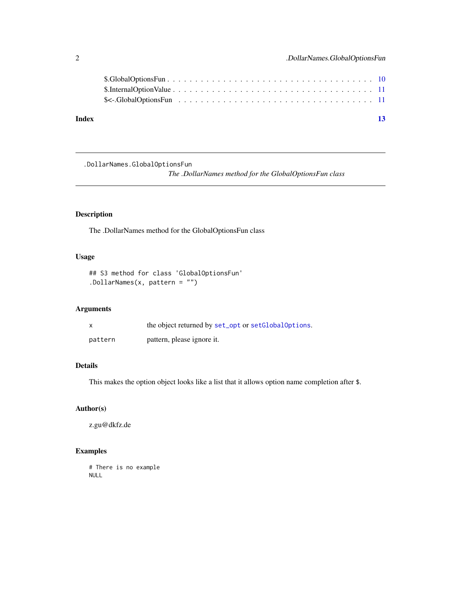<span id="page-1-0"></span>

| Index |  |  |  |  |  |  |  |  |  |  |  |  |  |  |  | 13 |
|-------|--|--|--|--|--|--|--|--|--|--|--|--|--|--|--|----|
|       |  |  |  |  |  |  |  |  |  |  |  |  |  |  |  |    |
|       |  |  |  |  |  |  |  |  |  |  |  |  |  |  |  |    |

.DollarNames.GlobalOptionsFun

*The .DollarNames method for the GlobalOptionsFun class*

## Description

The .DollarNames method for the GlobalOptionsFun class

## Usage

## S3 method for class 'GlobalOptionsFun' .DollarNames(x, pattern = "")

## Arguments

|         | the object returned by set_opt or setGlobalOptions. |
|---------|-----------------------------------------------------|
| pattern | pattern, please ignore it.                          |

## Details

This makes the option object looks like a list that it allows option name completion after \$.

## Author(s)

z.gu@dkfz.de

## Examples

# There is no example NULL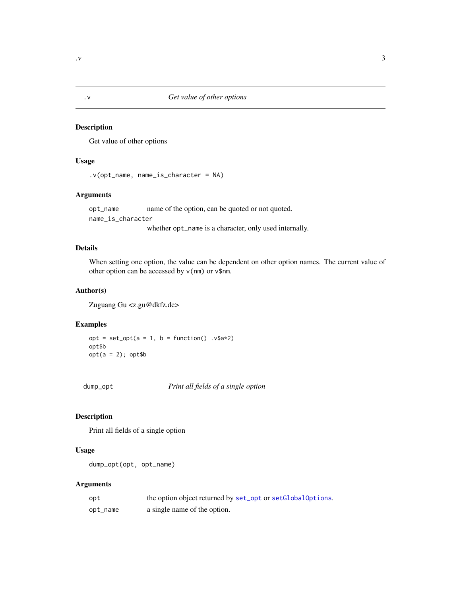<span id="page-2-0"></span>

#### <span id="page-2-1"></span>Description

Get value of other options

## Usage

```
.v(opt_name, name_is_character = NA)
```
## Arguments

opt\_name name of the option, can be quoted or not quoted. name\_is\_character

whether opt\_name is a character, only used internally.

## Details

When setting one option, the value can be dependent on other option names. The current value of other option can be accessed by v(nm) or v\$nm.

## Author(s)

Zuguang Gu <z.gu@dkfz.de>

## Examples

 $opt = set\_opt(a = 1, b = function() .v$ \$a\*2) opt\$b  $opt(a = 2); opt\$b$ 

dump\_opt *Print all fields of a single option*

## Description

Print all fields of a single option

#### Usage

```
dump_opt(opt, opt_name)
```
## Arguments

| opt      | the option object returned by set_opt or setGlobalOptions. |
|----------|------------------------------------------------------------|
| opt_name | a single name of the option.                               |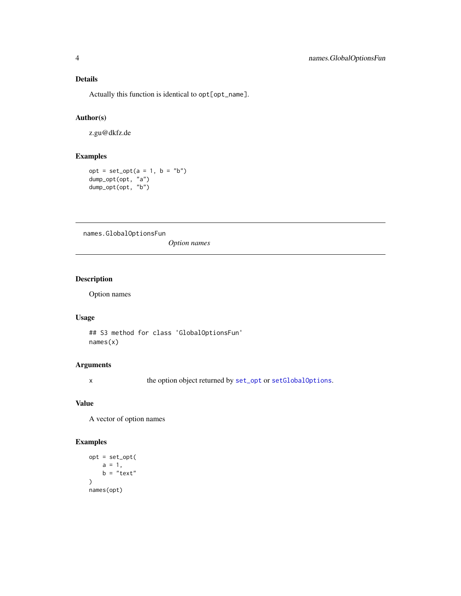## <span id="page-3-0"></span>Details

Actually this function is identical to opt[opt\_name].

## Author(s)

z.gu@dkfz.de

## Examples

 $opt = set\_opt(a = 1, b = "b")$ dump\_opt(opt, "a") dump\_opt(opt, "b")

names.GlobalOptionsFun

*Option names*

## Description

Option names

#### Usage

## S3 method for class 'GlobalOptionsFun' names(x)

## Arguments

x the option object returned by [set\\_opt](#page-6-1) or [setGlobalOptions](#page-4-1).

### Value

A vector of option names

```
opt = set_opt(
   a = 1,b = "text")
names(opt)
```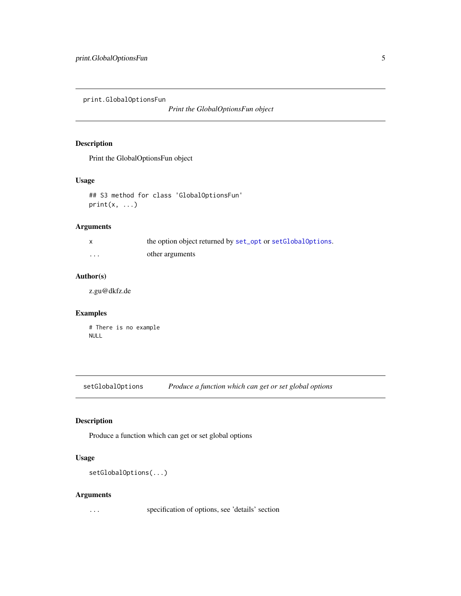<span id="page-4-0"></span>print.GlobalOptionsFun

*Print the GlobalOptionsFun object*

## Description

Print the GlobalOptionsFun object

## Usage

## S3 method for class 'GlobalOptionsFun'  $print(x, \ldots)$ 

## Arguments

|          | the option object returned by set_opt or setGlobalOptions. |
|----------|------------------------------------------------------------|
| $\cdots$ | other arguments                                            |

## Author(s)

z.gu@dkfz.de

## Examples

# There is no example NULL

<span id="page-4-1"></span>setGlobalOptions *Produce a function which can get or set global options*

## Description

Produce a function which can get or set global options

## Usage

setGlobalOptions(...)

#### Arguments

... specification of options, see 'details' section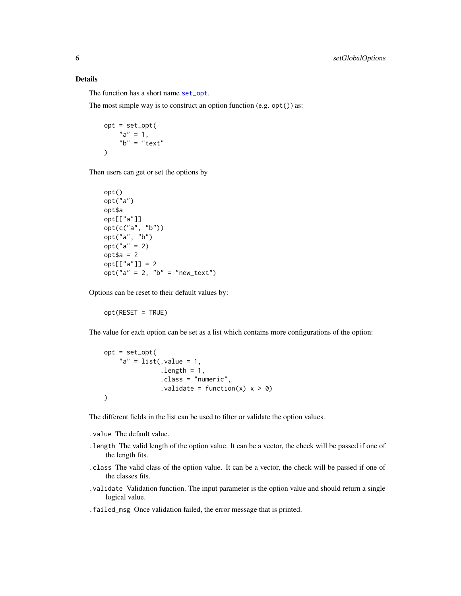### Details

The function has a short name [set\\_opt](#page-6-1).

The most simple way is to construct an option function (e.g. opt()) as:

```
opt = set_opt(
   "a" = 1,"b" = "text")
```
Then users can get or set the options by

```
opt()
opt("a")
opt$a
opt[["a"]]
opt(c("a", "b"))
opt("a", "b")
opt("a" = 2)
opt$a = 2
opt[["a"] = 2opt("a" = 2, "b" = "new_test")
```
Options can be reset to their default values by:

opt(RESET = TRUE)

The value for each option can be set as a list which contains more configurations of the option:

```
opt = set_opt(
    "a" = list(.value = 1,.length = 1,
               .class = "numeric",
               .validate = function(x) x > 0)
)
```
The different fields in the list can be used to filter or validate the option values.

.value The default value.

- .length The valid length of the option value. It can be a vector, the check will be passed if one of the length fits.
- .class The valid class of the option value. It can be a vector, the check will be passed if one of the classes fits.
- .validate Validation function. The input parameter is the option value and should return a single logical value.
- .failed\_msg Once validation failed, the error message that is printed.

<span id="page-5-0"></span>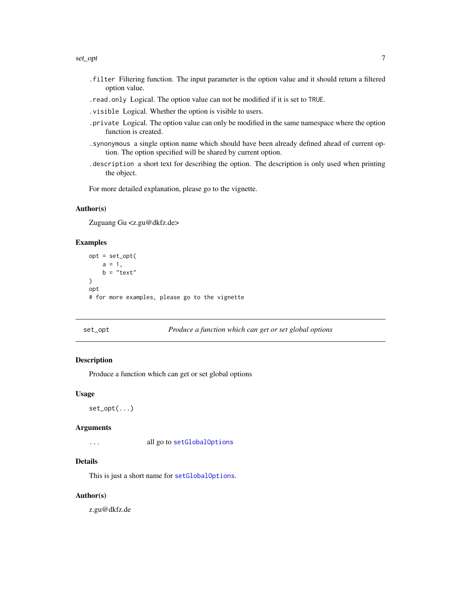#### <span id="page-6-0"></span>set\_opt 7 7

- .filter Filtering function. The input parameter is the option value and it should return a filtered option value.
- .read.only Logical. The option value can not be modified if it is set to TRUE.
- .visible Logical. Whether the option is visible to users.
- .private Logical. The option value can only be modified in the same namespace where the option function is created.
- .synonymous a single option name which should have been already defined ahead of current option. The option specified will be shared by current option.
- .description a short text for describing the option. The description is only used when printing the object.

For more detailed explanation, please go to the vignette.

#### Author(s)

Zuguang Gu <z.gu@dkfz.de>

#### Examples

```
opt = set_opt(
    a = 1,b = "text"\lambdaopt
# for more examples, please go to the vignette
```
#### <span id="page-6-1"></span>set\_opt *Produce a function which can get or set global options*

## Description

Produce a function which can get or set global options

#### Usage

```
set_opt(...)
```
#### **Arguments**

... all go to [setGlobalOptions](#page-4-1)

## Details

This is just a short name for [setGlobalOptions](#page-4-1).

#### Author(s)

z.gu@dkfz.de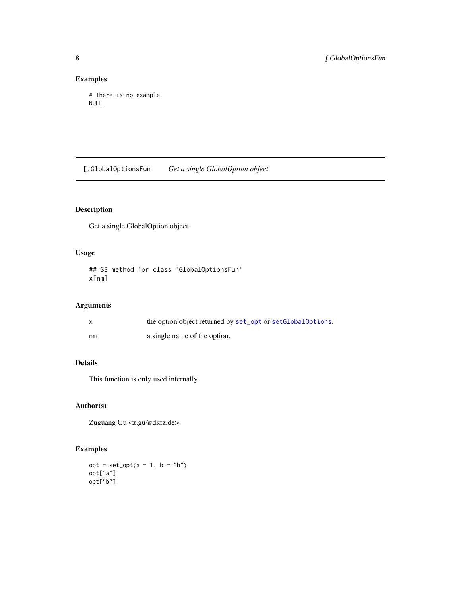## Examples

```
# There is no example
NULL
```
[.GlobalOptionsFun *Get a single GlobalOption object*

## Description

Get a single GlobalOption object

## Usage

```
## S3 method for class 'GlobalOptionsFun'
x[nm]
```
## Arguments

|    | the option object returned by set_opt or setGlobalOptions. |
|----|------------------------------------------------------------|
| nm | a single name of the option.                               |

## Details

This function is only used internally.

## Author(s)

Zuguang Gu <z.gu@dkfz.de>

```
opt = set\_opt(a = 1, b = "b")opt["a"]
opt["b"]
```
<span id="page-7-0"></span>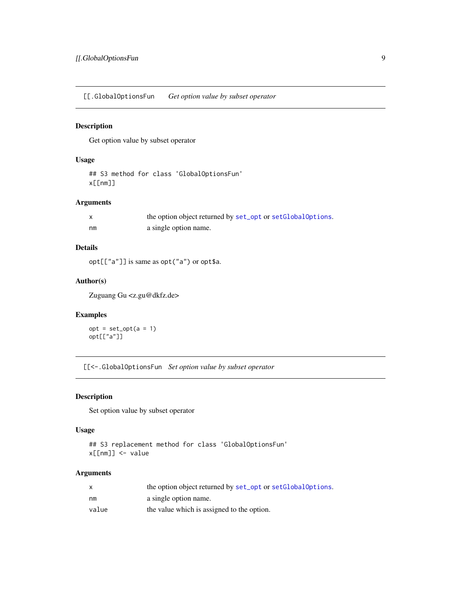<span id="page-8-0"></span>[[.GlobalOptionsFun *Get option value by subset operator*

## Description

Get option value by subset operator

#### Usage

## S3 method for class 'GlobalOptionsFun' x[[nm]]

## Arguments

|    | the option object returned by set_opt or setGlobalOptions. |
|----|------------------------------------------------------------|
| nm | a single option name.                                      |

## Details

opt[["a"]] is same as opt("a") or opt\$a.

## Author(s)

Zuguang Gu <z.gu@dkfz.de>

## Examples

 $opt = set\_opt(a = 1)$ opt[["a"]]

[[<-.GlobalOptionsFun *Set option value by subset operator*

## Description

Set option value by subset operator

#### Usage

```
## S3 replacement method for class 'GlobalOptionsFun'
x[[nm]] <- value
```
#### Arguments

| X     | the option object returned by set_opt or setGlobalOptions. |
|-------|------------------------------------------------------------|
| nm    | a single option name.                                      |
| value | the value which is assigned to the option.                 |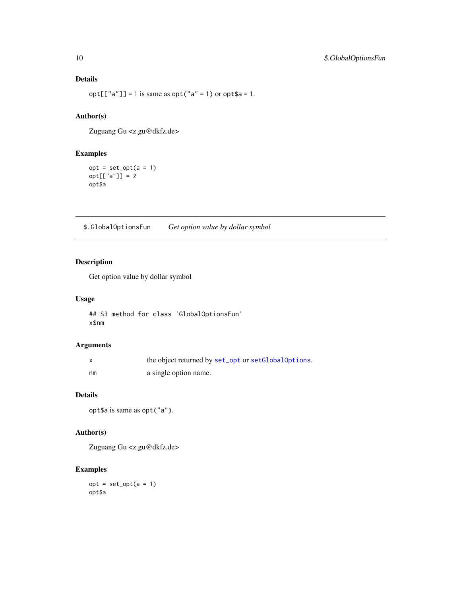## Details

 $opt[["a"] = 1$  is same as  $opt("a" = 1)$  or  $opt$a = 1$ .

## Author(s)

Zuguang Gu <z.gu@dkfz.de>

## Examples

```
opt = set\_opt(a = 1)opt[["a"] = 2opt$a
```
\$.GlobalOptionsFun *Get option value by dollar symbol*

## Description

Get option value by dollar symbol

#### Usage

```
## S3 method for class 'GlobalOptionsFun'
x$nm
```
## Arguments

|    | the object returned by set_opt or setGlobalOptions. |
|----|-----------------------------------------------------|
| nm | a single option name.                               |

## Details

opt\$a is same as opt("a").

## Author(s)

Zuguang Gu <z.gu@dkfz.de>

```
opt = set\_opt(a = 1)opt$a
```
<span id="page-9-0"></span>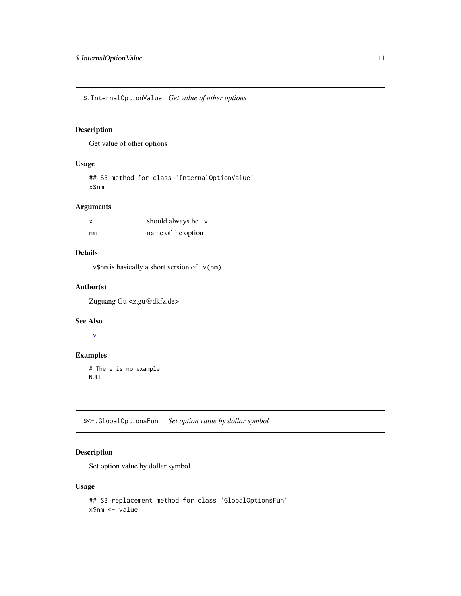<span id="page-10-0"></span>\$.InternalOptionValue *Get value of other options*

## Description

Get value of other options

## Usage

## S3 method for class 'InternalOptionValue' x\$nm

## Arguments

| x  | should always be. v |
|----|---------------------|
| nm | name of the option  |

## Details

.v\$nm is basically a short version of .v(nm).

## Author(s)

Zuguang Gu <z.gu@dkfz.de>

## See Also

[.v](#page-2-1)

## Examples

# There is no example NULL

\$<-.GlobalOptionsFun *Set option value by dollar symbol*

## Description

Set option value by dollar symbol

#### Usage

```
## S3 replacement method for class 'GlobalOptionsFun'
x$nm <- value
```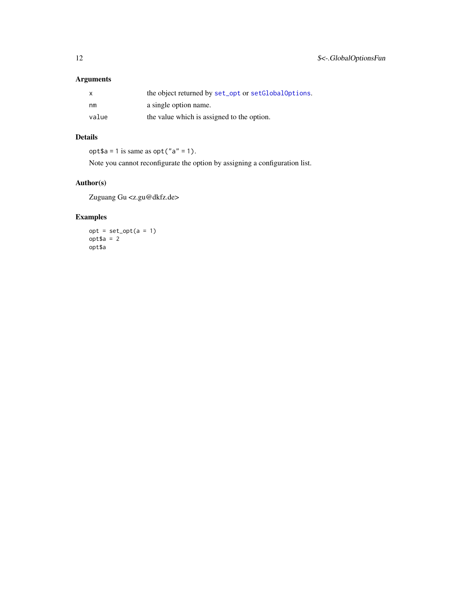## <span id="page-11-0"></span>Arguments

| $\mathsf{x}$ | the object returned by set_opt or setGlobalOptions. |
|--------------|-----------------------------------------------------|
| nm           | a single option name.                               |
| value        | the value which is assigned to the option.          |

## Details

 $opt$ \$a = 1 is same as  $opt("a" = 1)$ .

Note you cannot reconfigurate the option by assigning a configuration list.

## Author(s)

Zuguang Gu <z.gu@dkfz.de>

```
opt = set\_opt(a = 1)opt$a = 2
opt$a
```